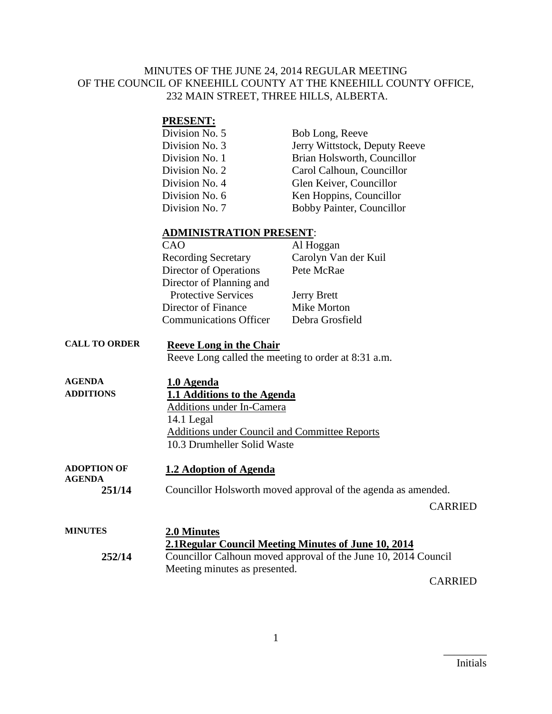### MINUTES OF THE JUNE 24, 2014 REGULAR MEETING OF THE COUNCIL OF KNEEHILL COUNTY AT THE KNEEHILL COUNTY OFFICE, 232 MAIN STREET, THREE HILLS, ALBERTA.

### **PRESENT:**

| Division No. 5 | Bob Long, Reeve               |
|----------------|-------------------------------|
| Division No. 3 | Jerry Wittstock, Deputy Reeve |
| Division No. 1 | Brian Holsworth, Councillor   |
| Division No. 2 | Carol Calhoun, Councillor     |
| Division No. 4 | Glen Keiver, Councillor       |
| Division No. 6 | Ken Hoppins, Councillor       |
| Division No. 7 | Bobby Painter, Councillor     |

#### **ADMINISTRATION PRESENT**:

| CAO                           | Al Hoggan            |
|-------------------------------|----------------------|
| <b>Recording Secretary</b>    | Carolyn Van der Kuil |
| Director of Operations        | Pete McRae           |
| Director of Planning and      |                      |
| <b>Protective Services</b>    | <b>Jerry Brett</b>   |
| Director of Finance           | Mike Morton          |
| <b>Communications Officer</b> | Debra Grosfield      |

# **CALL TO ORDER Reeve Long in the Chair**

Reeve Long called the meeting to order at 8:31 a.m.

| <b>AGENDA</b>      | 1.0 Agenda                                    |
|--------------------|-----------------------------------------------|
| <b>ADDITIONS</b>   | 1.1 Additions to the Agenda                   |
|                    | <b>Additions under In-Camera</b>              |
|                    | 14.1 Legal                                    |
|                    | Additions under Council and Committee Reports |
|                    | 10.3 Drumheller Solid Waste                   |
|                    |                                               |
| <b>ADOPTION OF</b> | 1.2 Adoption of Agenda                        |

**AGENDA 251/14** Councillor Holsworth moved approval of the agenda as amended.

CARRIED

| <b>MINUTES</b> | 2.0 Minutes<br>2.1 Regular Council Meeting Minutes of June 10, 2014 |
|----------------|---------------------------------------------------------------------|
| 252/14         | Councillor Calhoun moved approval of the June 10, 2014 Council      |
|                | Meeting minutes as presented.<br>$\sim$ . $\sim$ $\sim$ $\sim$      |

CARRIED

 $\overline{\phantom{a}}$  . The set of the set of the set of the set of the set of the set of the set of the set of the set of the set of the set of the set of the set of the set of the set of the set of the set of the set of the set o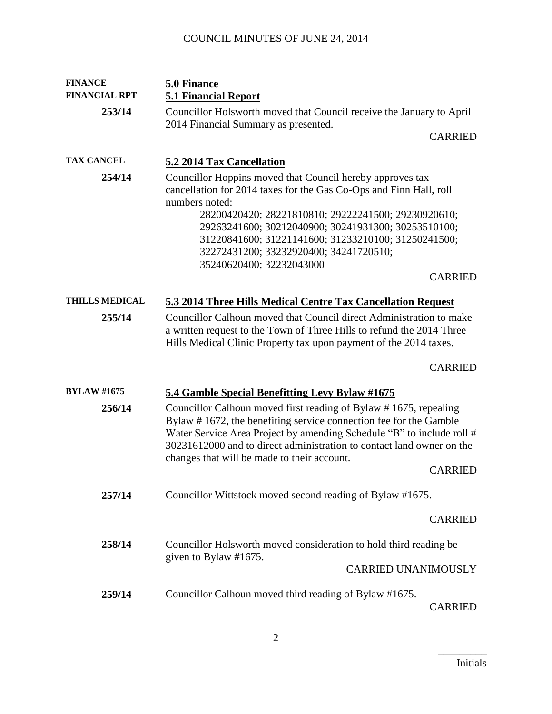## COUNCIL MINUTES OF JUNE 24, 2014

| <b>FINANCE</b>        | 5.0 Finance                                                                                                                                                                                                                                                                                                                                                                                                    |
|-----------------------|----------------------------------------------------------------------------------------------------------------------------------------------------------------------------------------------------------------------------------------------------------------------------------------------------------------------------------------------------------------------------------------------------------------|
| <b>FINANCIAL RPT</b>  | <b>5.1 Financial Report</b>                                                                                                                                                                                                                                                                                                                                                                                    |
| 253/14                | Councillor Holsworth moved that Council receive the January to April<br>2014 Financial Summary as presented.                                                                                                                                                                                                                                                                                                   |
|                       | <b>CARRIED</b>                                                                                                                                                                                                                                                                                                                                                                                                 |
| <b>TAX CANCEL</b>     | 5.2 2014 Tax Cancellation                                                                                                                                                                                                                                                                                                                                                                                      |
| 254/14                | Councillor Hoppins moved that Council hereby approves tax<br>cancellation for 2014 taxes for the Gas Co-Ops and Finn Hall, roll<br>numbers noted:<br>28200420420; 28221810810; 29222241500; 29230920610;<br>29263241600; 30212040900; 30241931300; 30253510100;<br>31220841600; 31221141600; 31233210100; 31250241500;<br>32272431200; 33232920400; 34241720510;<br>35240620400; 32232043000<br><b>CARRIED</b> |
| <b>THILLS MEDICAL</b> | 5.3 2014 Three Hills Medical Centre Tax Cancellation Request                                                                                                                                                                                                                                                                                                                                                   |
| 255/14                | Councillor Calhoun moved that Council direct Administration to make<br>a written request to the Town of Three Hills to refund the 2014 Three<br>Hills Medical Clinic Property tax upon payment of the 2014 taxes.                                                                                                                                                                                              |
|                       | <b>CARRIED</b>                                                                                                                                                                                                                                                                                                                                                                                                 |
| <b>BYLAW #1675</b>    | 5.4 Gamble Special Benefitting Levy Bylaw #1675                                                                                                                                                                                                                                                                                                                                                                |
| 256/14                | Councillor Calhoun moved first reading of Bylaw #1675, repealing<br>Bylaw #1672, the benefiting service connection fee for the Gamble<br>Water Service Area Project by amending Schedule "B" to include roll #<br>30231612000 and to direct administration to contact land owner on the<br>changes that will be made to their account.<br><b>CARRIED</b>                                                       |
| 257/14                | Councillor Wittstock moved second reading of Bylaw #1675.                                                                                                                                                                                                                                                                                                                                                      |
|                       | <b>CARRIED</b>                                                                                                                                                                                                                                                                                                                                                                                                 |
| 258/14                | Councillor Holsworth moved consideration to hold third reading be<br>given to Bylaw #1675.                                                                                                                                                                                                                                                                                                                     |
|                       | <b>CARRIED UNANIMOUSLY</b>                                                                                                                                                                                                                                                                                                                                                                                     |
| 259/14                | Councillor Calhoun moved third reading of Bylaw #1675.<br><b>CARRIED</b>                                                                                                                                                                                                                                                                                                                                       |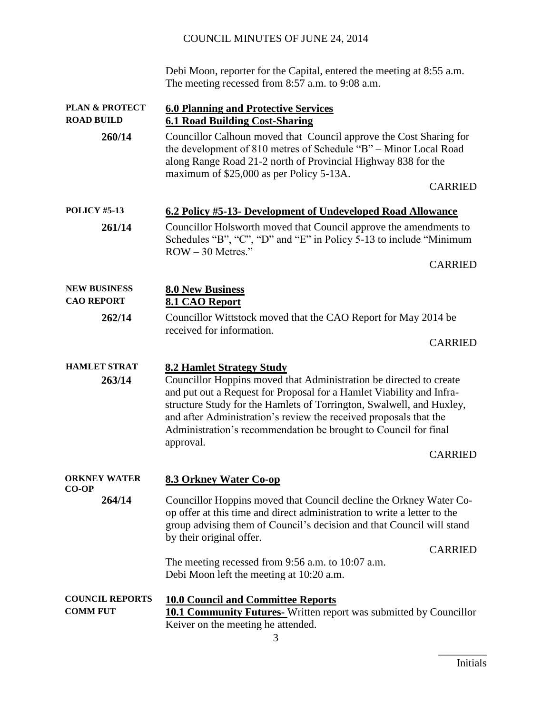## COUNCIL MINUTES OF JUNE 24, 2014

Debi Moon, reporter for the Capital, entered the meeting at 8:55 a.m. The meeting recessed from 8:57 a.m. to 9:08 a.m.

| <b>PLAN &amp; PROTECT</b>                 | <b>6.0 Planning and Protective Services</b>                                                                                                                                                                                                                                                                                                                                                                                   |
|-------------------------------------------|-------------------------------------------------------------------------------------------------------------------------------------------------------------------------------------------------------------------------------------------------------------------------------------------------------------------------------------------------------------------------------------------------------------------------------|
| <b>ROAD BUILD</b>                         | <b>6.1 Road Building Cost-Sharing</b>                                                                                                                                                                                                                                                                                                                                                                                         |
| 260/14                                    | Councillor Calhoun moved that Council approve the Cost Sharing for<br>the development of 810 metres of Schedule "B" - Minor Local Road<br>along Range Road 21-2 north of Provincial Highway 838 for the<br>maximum of \$25,000 as per Policy 5-13A.<br><b>CARRIED</b>                                                                                                                                                         |
| <b>POLICY #5-13</b>                       | 6.2 Policy #5-13- Development of Undeveloped Road Allowance                                                                                                                                                                                                                                                                                                                                                                   |
| 261/14                                    | Councillor Holsworth moved that Council approve the amendments to                                                                                                                                                                                                                                                                                                                                                             |
|                                           | Schedules "B", "C", "D" and "E" in Policy 5-13 to include "Minimum<br>$ROW - 30$ Metres."                                                                                                                                                                                                                                                                                                                                     |
|                                           | <b>CARRIED</b>                                                                                                                                                                                                                                                                                                                                                                                                                |
| <b>NEW BUSINESS</b>                       | <b>8.0 New Business</b>                                                                                                                                                                                                                                                                                                                                                                                                       |
| <b>CAO REPORT</b>                         | 8.1 CAO Report                                                                                                                                                                                                                                                                                                                                                                                                                |
| 262/14                                    | Councillor Wittstock moved that the CAO Report for May 2014 be<br>received for information.                                                                                                                                                                                                                                                                                                                                   |
|                                           | <b>CARRIED</b>                                                                                                                                                                                                                                                                                                                                                                                                                |
| <b>HAMLET STRAT</b><br>263/14             | <b>8.2 Hamlet Strategy Study</b><br>Councillor Hoppins moved that Administration be directed to create<br>and put out a Request for Proposal for a Hamlet Viability and Infra-<br>structure Study for the Hamlets of Torrington, Swalwell, and Huxley,<br>and after Administration's review the received proposals that the<br>Administration's recommendation be brought to Council for final<br>approval.<br><b>CARRIED</b> |
| <b>ORKNEY WATER</b>                       | <b>8.3 Orkney Water Co-op</b>                                                                                                                                                                                                                                                                                                                                                                                                 |
| <b>CO-OP</b>                              |                                                                                                                                                                                                                                                                                                                                                                                                                               |
| 264/14                                    | Councillor Hoppins moved that Council decline the Orkney Water Co-<br>op offer at this time and direct administration to write a letter to the<br>group advising them of Council's decision and that Council will stand<br>by their original offer.<br><b>CARRIED</b>                                                                                                                                                         |
|                                           | The meeting recessed from 9:56 a.m. to 10:07 a.m.<br>Debi Moon left the meeting at 10:20 a.m.                                                                                                                                                                                                                                                                                                                                 |
| <b>COUNCIL REPORTS</b><br><b>COMM FUT</b> | <b>10.0 Council and Committee Reports</b><br><b>10.1 Community Futures-</b> Written report was submitted by Councillor<br>Keiver on the meeting he attended.                                                                                                                                                                                                                                                                  |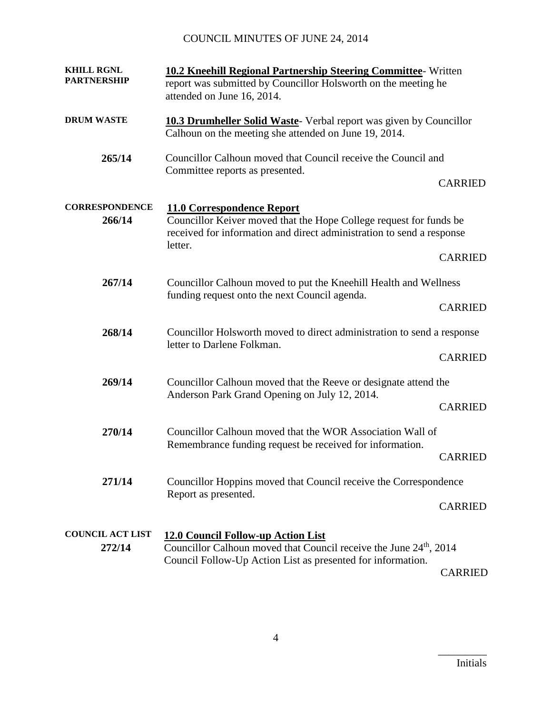## COUNCIL MINUTES OF JUNE 24, 2014

| <b>KHILL RGNL</b><br><b>PARTNERSHIP</b> | <b>10.2 Kneehill Regional Partnership Steering Committee- Written</b><br>report was submitted by Councillor Holsworth on the meeting he<br>attended on June 16, 2014.                       |                |
|-----------------------------------------|---------------------------------------------------------------------------------------------------------------------------------------------------------------------------------------------|----------------|
| <b>DRUM WASTE</b>                       | <b>10.3 Drumheller Solid Waste-</b> Verbal report was given by Councillor<br>Calhoun on the meeting she attended on June 19, 2014.                                                          |                |
| 265/14                                  | Councillor Calhoun moved that Council receive the Council and<br>Committee reports as presented.                                                                                            | <b>CARRIED</b> |
| <b>CORRESPONDENCE</b><br>266/14         | <b>11.0 Correspondence Report</b><br>Councillor Keiver moved that the Hope College request for funds be<br>received for information and direct administration to send a response<br>letter. |                |
|                                         |                                                                                                                                                                                             | <b>CARRIED</b> |
| 267/14                                  | Councillor Calhoun moved to put the Kneehill Health and Wellness                                                                                                                            |                |
|                                         | funding request onto the next Council agenda.                                                                                                                                               | <b>CARRIED</b> |
| 268/14                                  | Councillor Holsworth moved to direct administration to send a response<br>letter to Darlene Folkman.                                                                                        |                |
|                                         |                                                                                                                                                                                             | <b>CARRIED</b> |
| 269/14                                  | Councillor Calhoun moved that the Reeve or designate attend the<br>Anderson Park Grand Opening on July 12, 2014.                                                                            |                |
|                                         |                                                                                                                                                                                             | <b>CARRIED</b> |
| 270/14                                  | Councillor Calhoun moved that the WOR Association Wall of                                                                                                                                   |                |
|                                         | Remembrance funding request be received for information.                                                                                                                                    | <b>CARRIED</b> |
| 271/14                                  | Councillor Hoppins moved that Council receive the Correspondence                                                                                                                            |                |
|                                         | Report as presented.                                                                                                                                                                        | <b>CARRIED</b> |
| <b>COUNCIL ACT LIST</b><br>272/14       | <b>12.0 Council Follow-up Action List</b><br>Councillor Calhoun moved that Council receive the June 24 <sup>th</sup> , 2014                                                                 |                |
|                                         | Council Follow-Up Action List as presented for information.                                                                                                                                 | <b>CARRIED</b> |

4